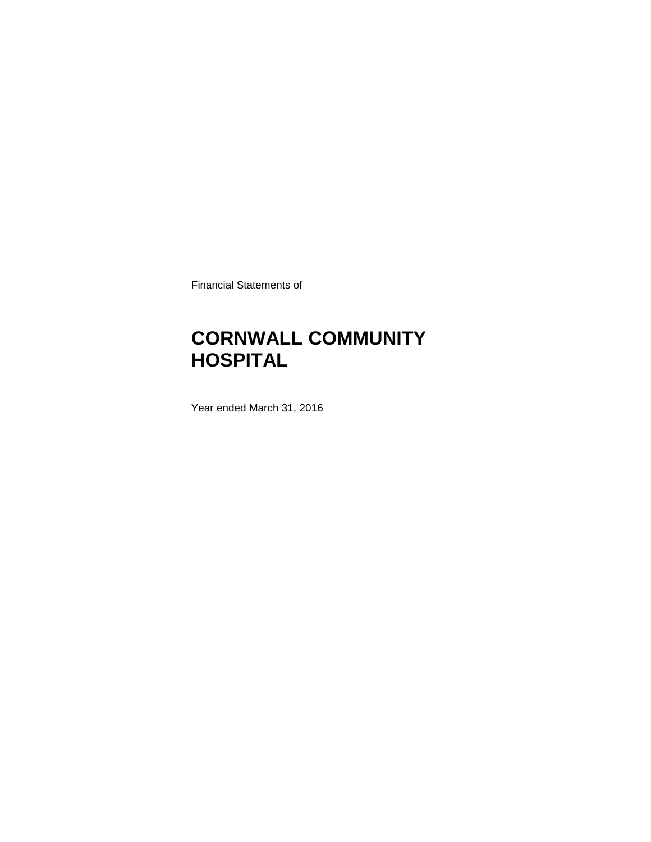Financial Statements of

### **CORNWALL COMMUNITY HOSPITAL**

Year ended March 31, 2016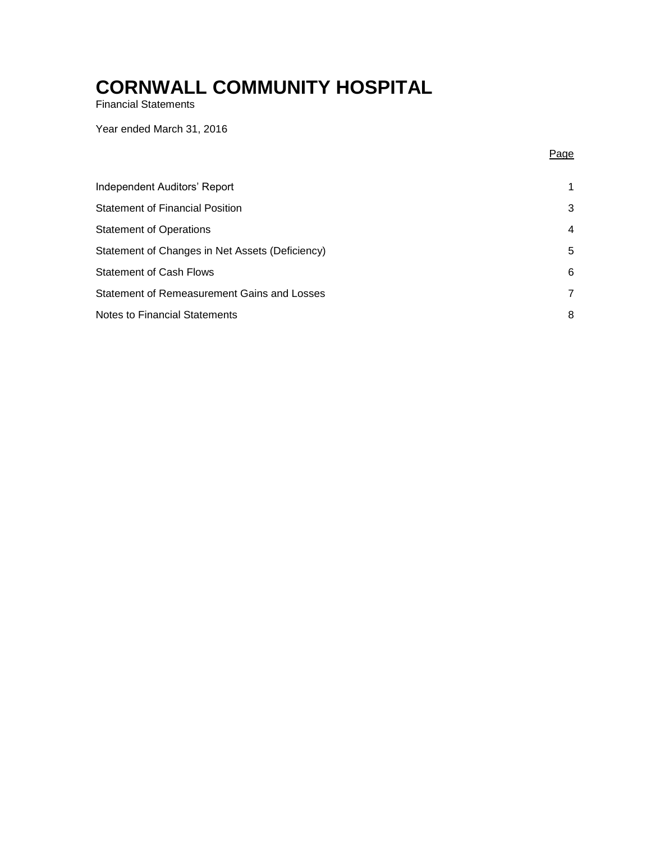Financial Statements

Year ended March 31, 2016

Page

| Independent Auditors' Report                    | 1              |
|-------------------------------------------------|----------------|
| <b>Statement of Financial Position</b>          | 3              |
| <b>Statement of Operations</b>                  | $\overline{4}$ |
| Statement of Changes in Net Assets (Deficiency) | 5              |
| <b>Statement of Cash Flows</b>                  | 6              |
| Statement of Remeasurement Gains and Losses     | 7              |
| <b>Notes to Financial Statements</b>            | 8              |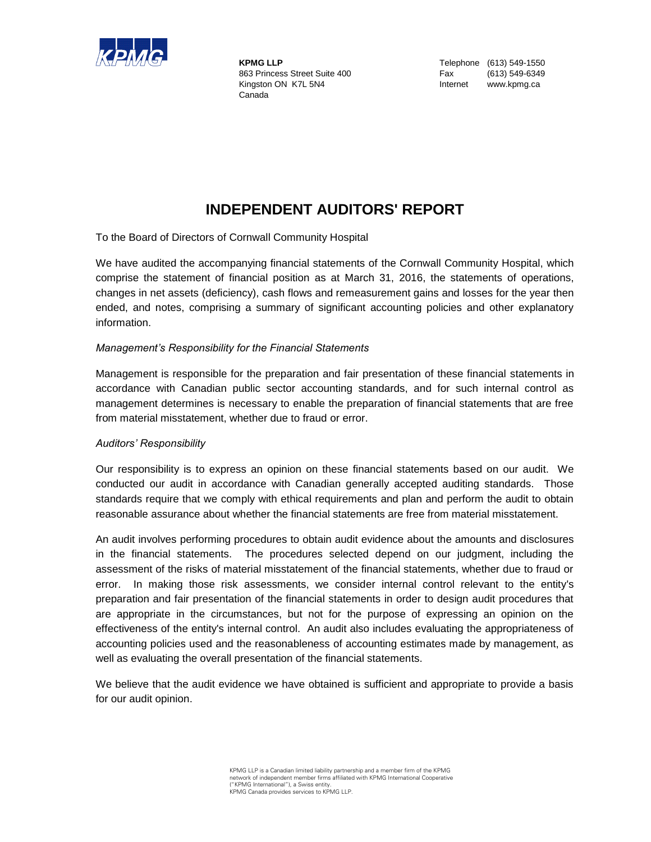

**KPMG LLP** Telephone (613) 549-1550 863 Princess Street Suite 400 Fax (613) 549-6349 Kingston ON K7L 5N4 **Internet** www.kpmg.ca Canada

### **INDEPENDENT AUDITORS' REPORT**

To the Board of Directors of Cornwall Community Hospital

We have audited the accompanying financial statements of the Cornwall Community Hospital, which comprise the statement of financial position as at March 31, 2016, the statements of operations, changes in net assets (deficiency), cash flows and remeasurement gains and losses for the year then ended, and notes, comprising a summary of significant accounting policies and other explanatory information.

### *Management's Responsibility for the Financial Statements*

Management is responsible for the preparation and fair presentation of these financial statements in accordance with Canadian public sector accounting standards, and for such internal control as management determines is necessary to enable the preparation of financial statements that are free from material misstatement, whether due to fraud or error.

#### *Auditors' Responsibility*

Our responsibility is to express an opinion on these financial statements based on our audit. We conducted our audit in accordance with Canadian generally accepted auditing standards. Those standards require that we comply with ethical requirements and plan and perform the audit to obtain reasonable assurance about whether the financial statements are free from material misstatement.

An audit involves performing procedures to obtain audit evidence about the amounts and disclosures in the financial statements. The procedures selected depend on our judgment, including the assessment of the risks of material misstatement of the financial statements, whether due to fraud or error. In making those risk assessments, we consider internal control relevant to the entity's preparation and fair presentation of the financial statements in order to design audit procedures that are appropriate in the circumstances, but not for the purpose of expressing an opinion on the effectiveness of the entity's internal control. An audit also includes evaluating the appropriateness of accounting policies used and the reasonableness of accounting estimates made by management, as well as evaluating the overall presentation of the financial statements.

We believe that the audit evidence we have obtained is sufficient and appropriate to provide a basis for our audit opinion.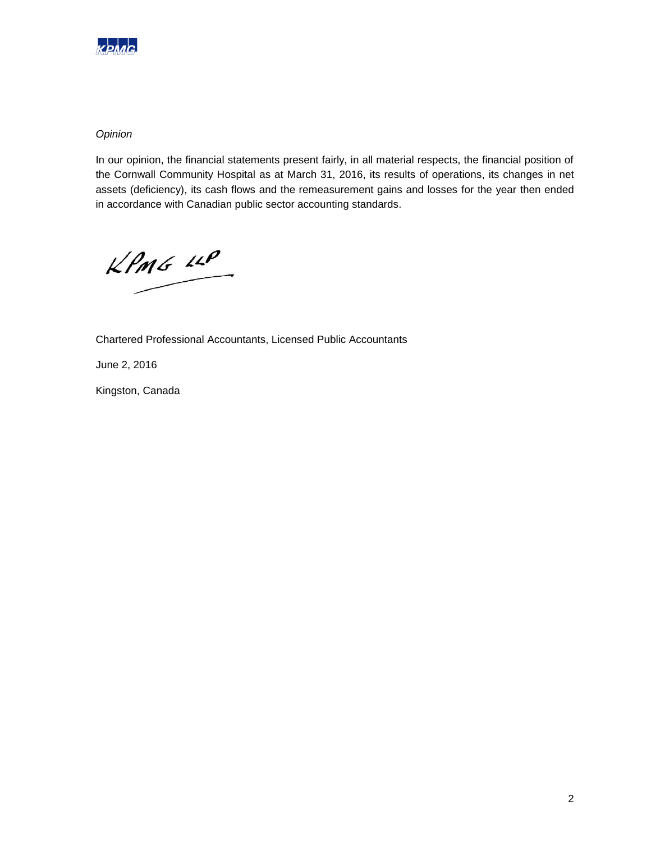

### *Opinion*

In our opinion, the financial statements present fairly, in all material respects, the financial position of the Cornwall Community Hospital as at March 31, 2016, its results of operations, its changes in net assets (deficiency), its cash flows and the remeasurement gains and losses for the year then ended in accordance with Canadian public sector accounting standards.

 $KPMG$   $10$ 

Chartered Professional Accountants, Licensed Public Accountants

June 2, 2016

Kingston, Canada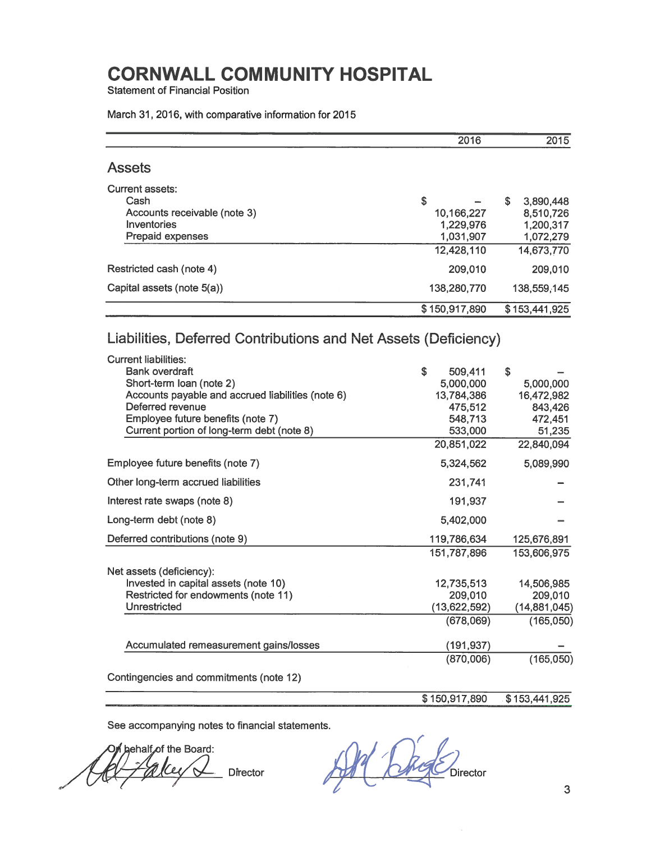Statement of Financial Position

|  |  |  | March 31, 2016, with comparative information for 2015 |  |  |  |
|--|--|--|-------------------------------------------------------|--|--|--|
|--|--|--|-------------------------------------------------------|--|--|--|

|                                                                                                | 2016                       | 2015                        |
|------------------------------------------------------------------------------------------------|----------------------------|-----------------------------|
| <b>Assets</b>                                                                                  |                            |                             |
| <b>Current assets:</b>                                                                         |                            |                             |
| Cash                                                                                           | \$                         | \$<br>3,890,448             |
| Accounts receivable (note 3)                                                                   | 10,166,227                 | 8,510,726                   |
| Inventories                                                                                    | 1,229,976                  | 1,200,317                   |
| Prepaid expenses                                                                               | 1,031,907                  | 1,072,279                   |
|                                                                                                | 12,428,110                 | 14,673,770                  |
| Restricted cash (note 4)                                                                       | 209,010                    | 209,010                     |
| Capital assets (note 5(a))                                                                     | 138,280,770                | 138,559,145                 |
|                                                                                                | \$150,917,890              | \$153,441,925               |
| Liabilities, Deferred Contributions and Net Assets (Deficiency)<br><b>Current liabilities:</b> |                            |                             |
| <b>Bank overdraft</b>                                                                          | \$<br>509,411              | \$                          |
| Short-term loan (note 2)                                                                       | 5,000,000                  | 5,000,000                   |
| Accounts payable and accrued liabilities (note 6)                                              | 13,784,386                 | 16,472,982                  |
| Deferred revenue                                                                               | 475,512                    | 843,426                     |
| Employee future benefits (note 7)<br>Current portion of long-term debt (note 8)                | 548,713<br>533,000         | 472,451<br>51,235           |
|                                                                                                | 20,851,022                 | 22,840,094                  |
| Employee future benefits (note 7)                                                              | 5,324,562                  | 5,089,990                   |
| Other long-term accrued liabilities                                                            | 231,741                    |                             |
| Interest rate swaps (note 8)                                                                   | 191,937                    |                             |
| Long-term debt (note 8)                                                                        | 5,402,000                  |                             |
|                                                                                                |                            |                             |
| Deferred contributions (note 9)                                                                | 119,786,634<br>151,787,896 | 125,676,891<br>153,606,975  |
|                                                                                                |                            |                             |
| Net assets (deficiency):                                                                       |                            |                             |
| Invested in capital assets (note 10)                                                           | 12,735,513                 | 14,506,985                  |
| Restricted for endowments (note 11)<br>Unrestricted                                            | 209,010                    | 209,010                     |
|                                                                                                | (13,622,592)<br>(678,069)  | (14,881,045)<br>(165,050)   |
|                                                                                                |                            |                             |
| Accumulated remeasurement gains/losses                                                         | (191, 937)                 |                             |
|                                                                                                | (870,006)                  | (165,050)                   |
| Contingencies and commitments (note 12)                                                        |                            |                             |
|                                                                                                |                            | \$150,917,890 \$153,441,925 |

On behalf of the Board: Director

 $\mathcal{A}$  of  $\mathcal{C}$ Director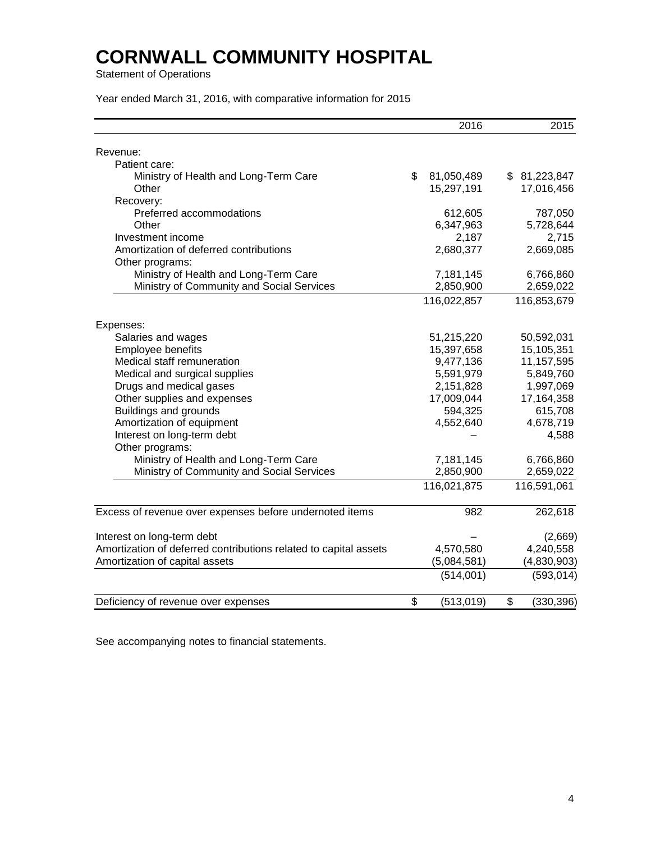Statement of Operations

Year ended March 31, 2016, with comparative information for 2015

|                                                                  | 2016             | 2015             |
|------------------------------------------------------------------|------------------|------------------|
| Revenue:                                                         |                  |                  |
| Patient care:                                                    |                  |                  |
| Ministry of Health and Long-Term Care                            | \$<br>81,050,489 | \$81,223,847     |
| Other                                                            | 15,297,191       | 17,016,456       |
| Recovery:                                                        |                  |                  |
| Preferred accommodations                                         | 612,605          | 787,050          |
| Other                                                            | 6,347,963        | 5,728,644        |
| Investment income                                                | 2,187            | 2,715            |
| Amortization of deferred contributions                           | 2,680,377        | 2,669,085        |
| Other programs:                                                  |                  |                  |
| Ministry of Health and Long-Term Care                            | 7,181,145        | 6,766,860        |
| Ministry of Community and Social Services                        | 2,850,900        | 2,659,022        |
|                                                                  | 116,022,857      | 116,853,679      |
| Expenses:                                                        |                  |                  |
| Salaries and wages                                               | 51,215,220       | 50,592,031       |
| Employee benefits                                                | 15,397,658       | 15,105,351       |
| Medical staff remuneration                                       | 9,477,136        | 11,157,595       |
| Medical and surgical supplies                                    | 5,591,979        | 5,849,760        |
| Drugs and medical gases                                          | 2,151,828        | 1,997,069        |
| Other supplies and expenses                                      | 17,009,044       | 17,164,358       |
| <b>Buildings and grounds</b>                                     | 594,325          | 615,708          |
| Amortization of equipment                                        | 4,552,640        | 4,678,719        |
| Interest on long-term debt                                       |                  | 4,588            |
| Other programs:                                                  |                  |                  |
| Ministry of Health and Long-Term Care                            | 7,181,145        | 6,766,860        |
| Ministry of Community and Social Services                        | 2,850,900        | 2,659,022        |
|                                                                  | 116,021,875      | 116,591,061      |
| Excess of revenue over expenses before undernoted items          | 982              | 262,618          |
|                                                                  |                  |                  |
| Interest on long-term debt                                       |                  | (2,669)          |
| Amortization of deferred contributions related to capital assets | 4,570,580        | 4,240,558        |
| Amortization of capital assets                                   | (5,084,581)      | (4,830,903)      |
|                                                                  | (514,001)        | (593, 014)       |
| Deficiency of revenue over expenses                              | \$<br>(513, 019) | \$<br>(330, 396) |
|                                                                  |                  |                  |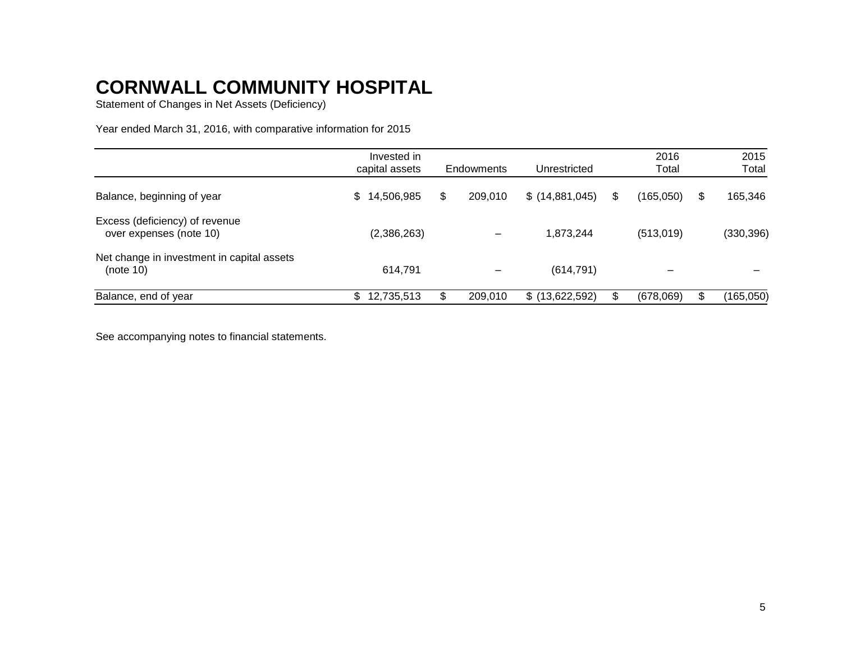Statement of Changes in Net Assets (Deficiency)

Year ended March 31, 2016, with comparative information for 2015

|                                                           | Invested in<br>capital assets | Endowments    | Unrestricted    |    | 2016<br>Total | 2015<br>Total |
|-----------------------------------------------------------|-------------------------------|---------------|-----------------|----|---------------|---------------|
| Balance, beginning of year                                | 14,506,985                    | \$<br>209.010 | \$(14,881,045)  | \$ | (165,050)     | \$<br>165,346 |
| Excess (deficiency) of revenue<br>over expenses (note 10) | (2,386,263)                   |               | 1,873,244       |    | (513,019)     | (330,396)     |
| Net change in investment in capital assets<br>(note 10)   | 614,791                       |               | (614, 791)      |    |               |               |
| Balance, end of year                                      | 12,735,513                    | 209,010       | \$ (13,622,592) | ደ  | (678,069)     | (165, 050)    |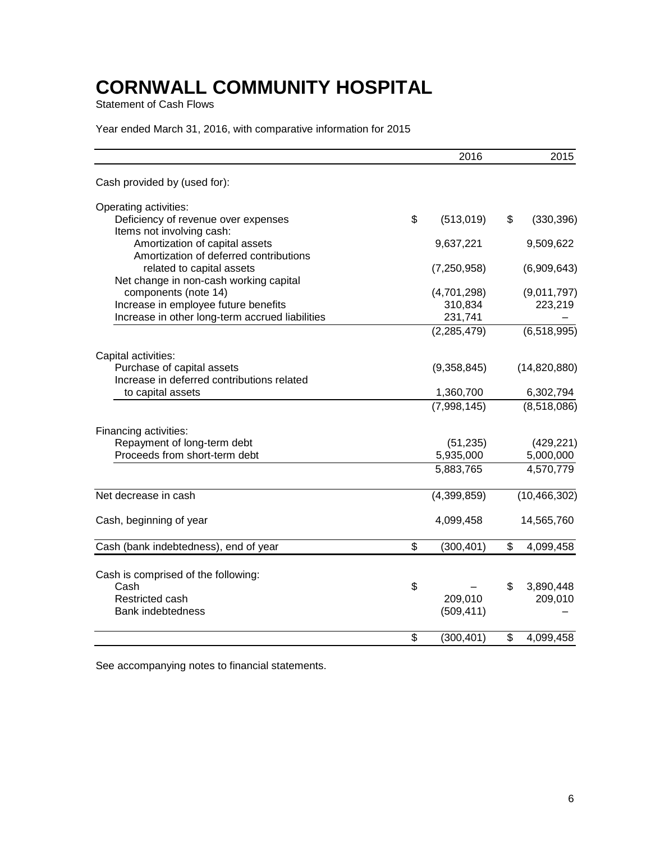Statement of Cash Flows

Year ended March 31, 2016, with comparative information for 2015

|                                                                          | 2016             | 2015             |
|--------------------------------------------------------------------------|------------------|------------------|
| Cash provided by (used for):                                             |                  |                  |
| Operating activities:                                                    |                  |                  |
| Deficiency of revenue over expenses                                      | \$<br>(513,019)  | \$<br>(330, 396) |
| Items not involving cash:                                                |                  |                  |
| Amortization of capital assets<br>Amortization of deferred contributions | 9,637,221        | 9,509,622        |
| related to capital assets                                                | (7, 250, 958)    | (6,909,643)      |
| Net change in non-cash working capital                                   |                  |                  |
| components (note 14)                                                     | (4,701,298)      | (9,011,797)      |
| Increase in employee future benefits                                     | 310,834          | 223,219          |
| Increase in other long-term accrued liabilities                          | 231,741          |                  |
|                                                                          | (2, 285, 479)    | (6,518,995)      |
| Capital activities:                                                      |                  |                  |
| Purchase of capital assets                                               | (9,358,845)      | (14,820,880)     |
| Increase in deferred contributions related                               |                  |                  |
| to capital assets                                                        | 1,360,700        | 6,302,794        |
|                                                                          | (7,998,145)      | (8,518,086)      |
| Financing activities:                                                    |                  |                  |
| Repayment of long-term debt                                              | (51, 235)        | (429, 221)       |
| Proceeds from short-term debt                                            | 5,935,000        | 5,000,000        |
|                                                                          | 5,883,765        | 4,570,779        |
| Net decrease in cash                                                     | (4,399,859)      | (10, 466, 302)   |
| Cash, beginning of year                                                  | 4,099,458        | 14,565,760       |
|                                                                          |                  |                  |
| Cash (bank indebtedness), end of year                                    | \$<br>(300, 401) | \$<br>4,099,458  |
| Cash is comprised of the following:                                      |                  |                  |
| Cash                                                                     | \$               | \$<br>3,890,448  |
| Restricted cash                                                          | 209,010          | 209,010          |
| <b>Bank indebtedness</b>                                                 | (509, 411)       |                  |
|                                                                          | \$<br>(300, 401) | \$<br>4,099,458  |
|                                                                          |                  |                  |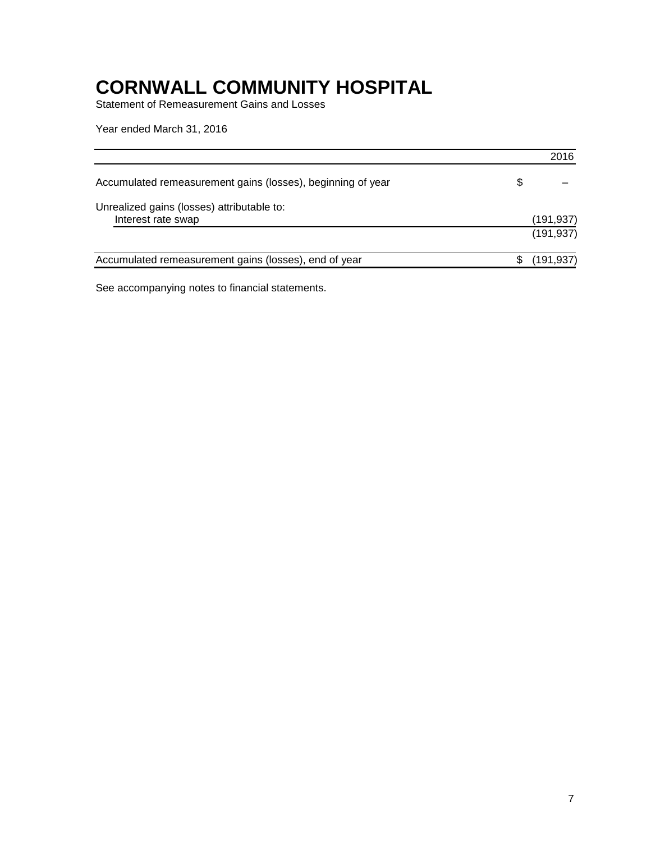Statement of Remeasurement Gains and Losses

Year ended March 31, 2016

|                                                             | 2016       |
|-------------------------------------------------------------|------------|
| Accumulated remeasurement gains (losses), beginning of year | \$         |
| Unrealized gains (losses) attributable to:                  |            |
| Interest rate swap                                          | (191, 937) |
|                                                             | (191, 937) |
| Accumulated remeasurement gains (losses), end of year       | (191, 937) |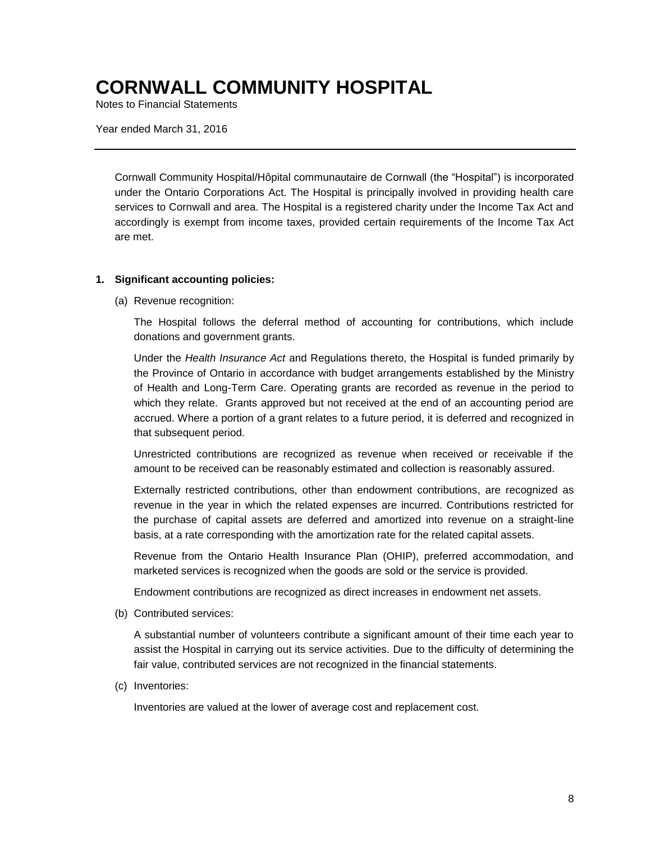Notes to Financial Statements

Year ended March 31, 2016

Cornwall Community Hospital/Hôpital communautaire de Cornwall (the "Hospital") is incorporated under the Ontario Corporations Act. The Hospital is principally involved in providing health care services to Cornwall and area. The Hospital is a registered charity under the Income Tax Act and accordingly is exempt from income taxes, provided certain requirements of the Income Tax Act are met.

### **1. Significant accounting policies:**

(a) Revenue recognition:

The Hospital follows the deferral method of accounting for contributions, which include donations and government grants.

Under the *Health Insurance Act* and Regulations thereto, the Hospital is funded primarily by the Province of Ontario in accordance with budget arrangements established by the Ministry of Health and Long-Term Care. Operating grants are recorded as revenue in the period to which they relate. Grants approved but not received at the end of an accounting period are accrued. Where a portion of a grant relates to a future period, it is deferred and recognized in that subsequent period.

Unrestricted contributions are recognized as revenue when received or receivable if the amount to be received can be reasonably estimated and collection is reasonably assured.

Externally restricted contributions, other than endowment contributions, are recognized as revenue in the year in which the related expenses are incurred. Contributions restricted for the purchase of capital assets are deferred and amortized into revenue on a straight-line basis, at a rate corresponding with the amortization rate for the related capital assets.

Revenue from the Ontario Health Insurance Plan (OHIP), preferred accommodation, and marketed services is recognized when the goods are sold or the service is provided.

Endowment contributions are recognized as direct increases in endowment net assets.

(b) Contributed services:

A substantial number of volunteers contribute a significant amount of their time each year to assist the Hospital in carrying out its service activities. Due to the difficulty of determining the fair value, contributed services are not recognized in the financial statements.

(c) Inventories:

Inventories are valued at the lower of average cost and replacement cost.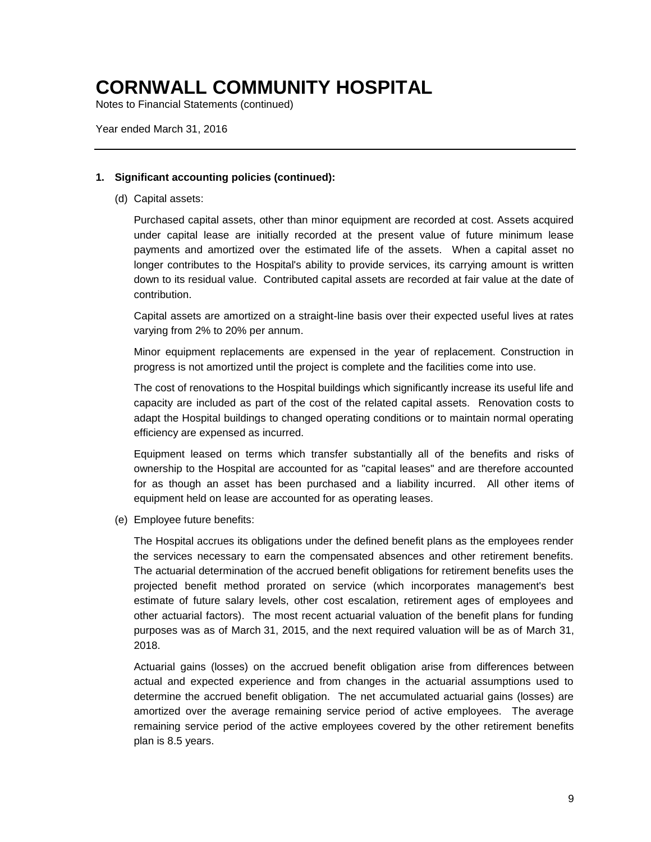Notes to Financial Statements (continued)

Year ended March 31, 2016

#### **1. Significant accounting policies (continued):**

(d) Capital assets:

Purchased capital assets, other than minor equipment are recorded at cost. Assets acquired under capital lease are initially recorded at the present value of future minimum lease payments and amortized over the estimated life of the assets. When a capital asset no longer contributes to the Hospital's ability to provide services, its carrying amount is written down to its residual value. Contributed capital assets are recorded at fair value at the date of contribution.

Capital assets are amortized on a straight-line basis over their expected useful lives at rates varying from 2% to 20% per annum.

Minor equipment replacements are expensed in the year of replacement. Construction in progress is not amortized until the project is complete and the facilities come into use.

The cost of renovations to the Hospital buildings which significantly increase its useful life and capacity are included as part of the cost of the related capital assets. Renovation costs to adapt the Hospital buildings to changed operating conditions or to maintain normal operating efficiency are expensed as incurred.

Equipment leased on terms which transfer substantially all of the benefits and risks of ownership to the Hospital are accounted for as "capital leases" and are therefore accounted for as though an asset has been purchased and a liability incurred. All other items of equipment held on lease are accounted for as operating leases.

(e) Employee future benefits:

The Hospital accrues its obligations under the defined benefit plans as the employees render the services necessary to earn the compensated absences and other retirement benefits. The actuarial determination of the accrued benefit obligations for retirement benefits uses the projected benefit method prorated on service (which incorporates management's best estimate of future salary levels, other cost escalation, retirement ages of employees and other actuarial factors). The most recent actuarial valuation of the benefit plans for funding purposes was as of March 31, 2015, and the next required valuation will be as of March 31, 2018.

Actuarial gains (losses) on the accrued benefit obligation arise from differences between actual and expected experience and from changes in the actuarial assumptions used to determine the accrued benefit obligation. The net accumulated actuarial gains (losses) are amortized over the average remaining service period of active employees. The average remaining service period of the active employees covered by the other retirement benefits plan is 8.5 years.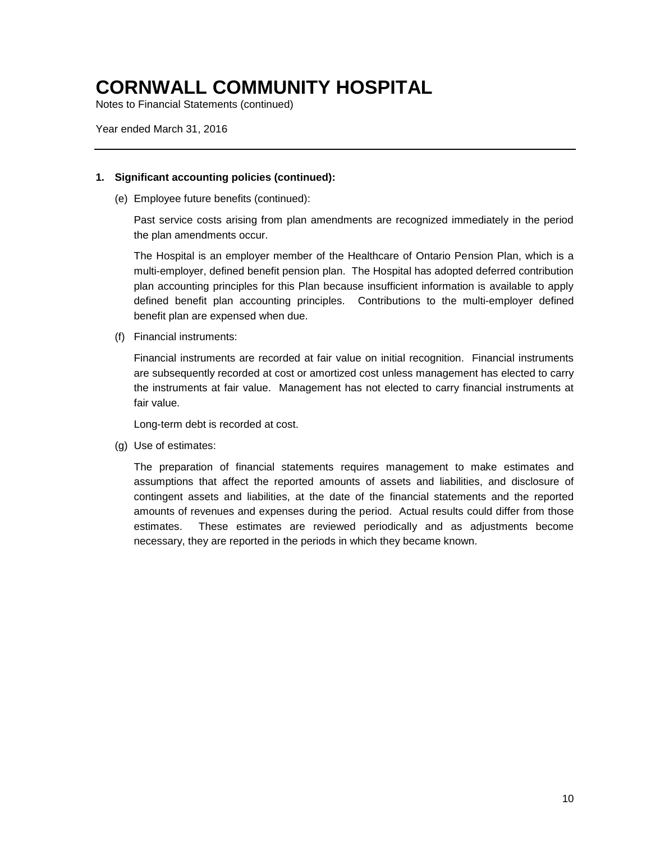Notes to Financial Statements (continued)

Year ended March 31, 2016

### **1. Significant accounting policies (continued):**

(e) Employee future benefits (continued):

Past service costs arising from plan amendments are recognized immediately in the period the plan amendments occur.

The Hospital is an employer member of the Healthcare of Ontario Pension Plan, which is a multi-employer, defined benefit pension plan. The Hospital has adopted deferred contribution plan accounting principles for this Plan because insufficient information is available to apply defined benefit plan accounting principles. Contributions to the multi-employer defined benefit plan are expensed when due.

(f) Financial instruments:

Financial instruments are recorded at fair value on initial recognition. Financial instruments are subsequently recorded at cost or amortized cost unless management has elected to carry the instruments at fair value. Management has not elected to carry financial instruments at fair value.

Long-term debt is recorded at cost.

(g) Use of estimates:

The preparation of financial statements requires management to make estimates and assumptions that affect the reported amounts of assets and liabilities, and disclosure of contingent assets and liabilities, at the date of the financial statements and the reported amounts of revenues and expenses during the period. Actual results could differ from those estimates. These estimates are reviewed periodically and as adjustments become necessary, they are reported in the periods in which they became known.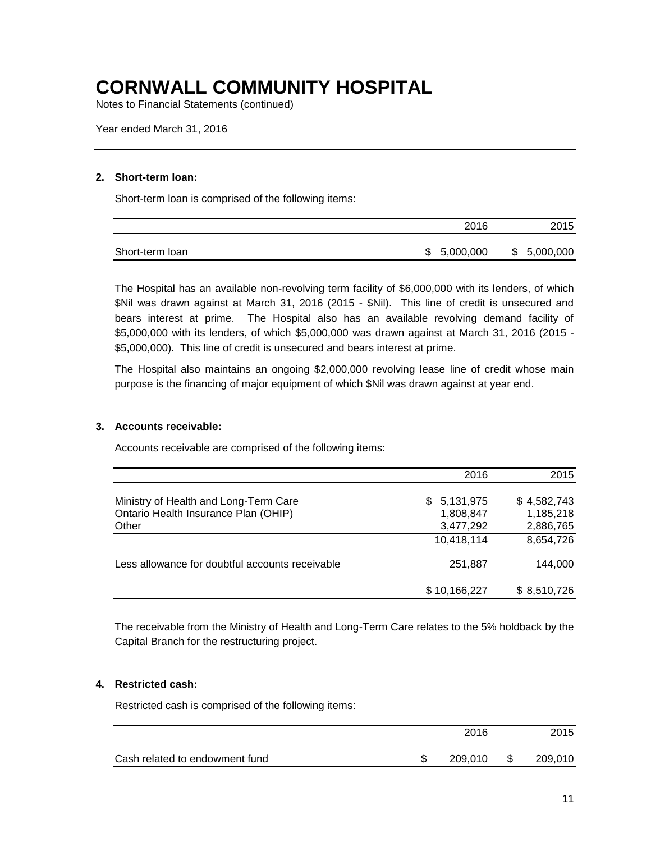Notes to Financial Statements (continued)

Year ended March 31, 2016

#### **2. Short-term loan:**

Short-term loan is comprised of the following items:

|                 | 2016             | 2015            |
|-----------------|------------------|-----------------|
| Short-term loan | 5,000,000<br>\$. | 5,000,000<br>\$ |

The Hospital has an available non-revolving term facility of \$6,000,000 with its lenders, of which \$Nil was drawn against at March 31, 2016 (2015 - \$Nil). This line of credit is unsecured and bears interest at prime. The Hospital also has an available revolving demand facility of \$5,000,000 with its lenders, of which \$5,000,000 was drawn against at March 31, 2016 (2015 - \$5,000,000). This line of credit is unsecured and bears interest at prime.

The Hospital also maintains an ongoing \$2,000,000 revolving lease line of credit whose main purpose is the financing of major equipment of which \$Nil was drawn against at year end.

#### **3. Accounts receivable:**

Accounts receivable are comprised of the following items:

|                                                                               | 2016                          | 2015                     |
|-------------------------------------------------------------------------------|-------------------------------|--------------------------|
| Ministry of Health and Long-Term Care<br>Ontario Health Insurance Plan (OHIP) | 5,131,975<br>SS.<br>1,808,847 | \$4,582,743<br>1,185,218 |
| Other                                                                         | 3,477,292                     | 2,886,765                |
|                                                                               | 10,418,114                    | 8,654,726                |
| Less allowance for doubtful accounts receivable                               | 251,887                       | 144.000                  |
|                                                                               | \$10,166,227                  | \$8,510,726              |

The receivable from the Ministry of Health and Long-Term Care relates to the 5% holdback by the Capital Branch for the restructuring project.

### **4. Restricted cash:**

Restricted cash is comprised of the following items:

|                                | 2016    | 2015    |
|--------------------------------|---------|---------|
| Cash related to endowment fund | 209.010 | 209,010 |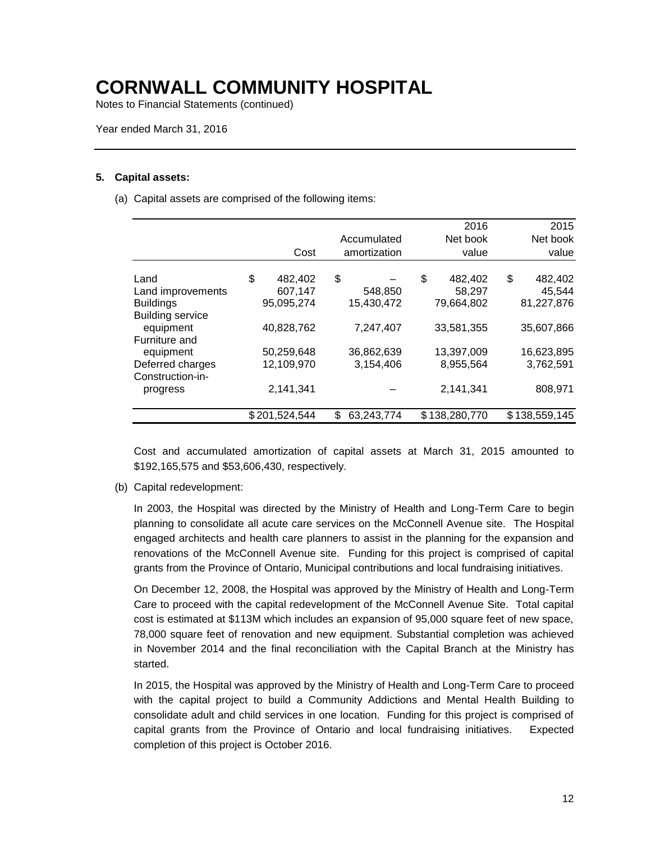Notes to Financial Statements (continued)

Year ended March 31, 2016

#### **5. Capital assets:**

(a) Capital assets are comprised of the following items:

|                                             |               |                  | 2016          | 2015          |
|---------------------------------------------|---------------|------------------|---------------|---------------|
|                                             |               | Accumulated      | Net book      | Net book      |
|                                             | Cost          | amortization     | value         | value         |
| Land                                        | \$<br>482,402 | \$               | \$<br>482,402 | \$<br>482,402 |
| Land improvements                           | 607,147       | 548,850          | 58.297        | 45.544        |
| <b>Buildings</b><br><b>Building service</b> | 95,095,274    | 15,430,472       | 79,664,802    | 81,227,876    |
| equipment<br>Furniture and                  | 40,828,762    | 7,247,407        | 33,581,355    | 35,607,866    |
| equipment                                   | 50,259,648    | 36,862,639       | 13,397,009    | 16,623,895    |
| Deferred charges<br>Construction-in-        | 12,109,970    | 3,154,406        | 8,955,564     | 3,762,591     |
| progress                                    | 2,141,341     |                  | 2,141,341     | 808,971       |
|                                             | \$201,524,544 | \$<br>63,243,774 | \$138,280,770 | \$138,559,145 |

Cost and accumulated amortization of capital assets at March 31, 2015 amounted to \$192,165,575 and \$53,606,430, respectively.

(b) Capital redevelopment:

In 2003, the Hospital was directed by the Ministry of Health and Long-Term Care to begin planning to consolidate all acute care services on the McConnell Avenue site. The Hospital engaged architects and health care planners to assist in the planning for the expansion and renovations of the McConnell Avenue site. Funding for this project is comprised of capital grants from the Province of Ontario, Municipal contributions and local fundraising initiatives.

On December 12, 2008, the Hospital was approved by the Ministry of Health and Long-Term Care to proceed with the capital redevelopment of the McConnell Avenue Site. Total capital cost is estimated at \$113M which includes an expansion of 95,000 square feet of new space, 78,000 square feet of renovation and new equipment. Substantial completion was achieved in November 2014 and the final reconciliation with the Capital Branch at the Ministry has started.

In 2015, the Hospital was approved by the Ministry of Health and Long-Term Care to proceed with the capital project to build a Community Addictions and Mental Health Building to consolidate adult and child services in one location. Funding for this project is comprised of capital grants from the Province of Ontario and local fundraising initiatives. Expected completion of this project is October 2016.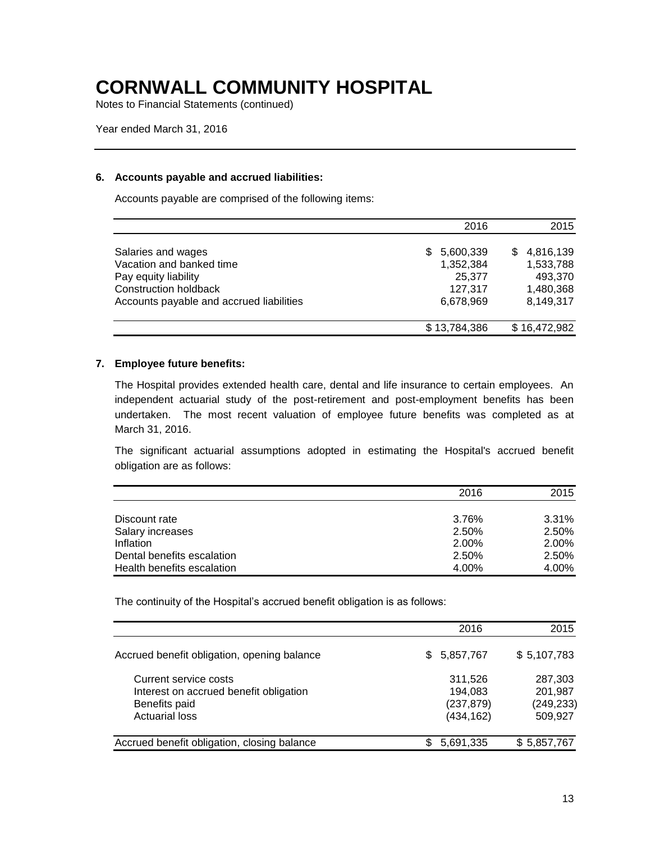Notes to Financial Statements (continued)

Year ended March 31, 2016

#### **6. Accounts payable and accrued liabilities:**

Accounts payable are comprised of the following items:

|                                          | 2016            | 2015         |
|------------------------------------------|-----------------|--------------|
| Salaries and wages                       | 5,600,339<br>S. | \$4,816,139  |
| Vacation and banked time                 | 1,352,384       | 1,533,788    |
| Pay equity liability                     | 25,377          | 493,370      |
| <b>Construction holdback</b>             | 127.317         | 1,480,368    |
| Accounts payable and accrued liabilities | 6,678,969       | 8,149,317    |
|                                          | \$13,784,386    | \$16,472,982 |

### **7. Employee future benefits:**

The Hospital provides extended health care, dental and life insurance to certain employees. An independent actuarial study of the post-retirement and post-employment benefits has been undertaken. The most recent valuation of employee future benefits was completed as at March 31, 2016.

The significant actuarial assumptions adopted in estimating the Hospital's accrued benefit obligation are as follows:

|                            | 2016  | 2015  |
|----------------------------|-------|-------|
|                            |       |       |
| Discount rate              | 3.76% | 3.31% |
| Salary increases           | 2.50% | 2.50% |
| Inflation                  | 2.00% | 2.00% |
| Dental benefits escalation | 2.50% | 2.50% |
| Health benefits escalation | 4.00% | 4.00% |

The continuity of the Hospital's accrued benefit obligation is as follows:

|                                             | 2016            | 2015        |
|---------------------------------------------|-----------------|-------------|
| Accrued benefit obligation, opening balance | 5,857,767<br>S. | \$5,107,783 |
| Current service costs                       | 311.526         | 287,303     |
| Interest on accrued benefit obligation      | 194,083         | 201,987     |
| Benefits paid                               | (237, 879)      | (249, 233)  |
| <b>Actuarial loss</b>                       | (434, 162)      | 509,927     |
| Accrued benefit obligation, closing balance | 5,691,335       | \$5,857,767 |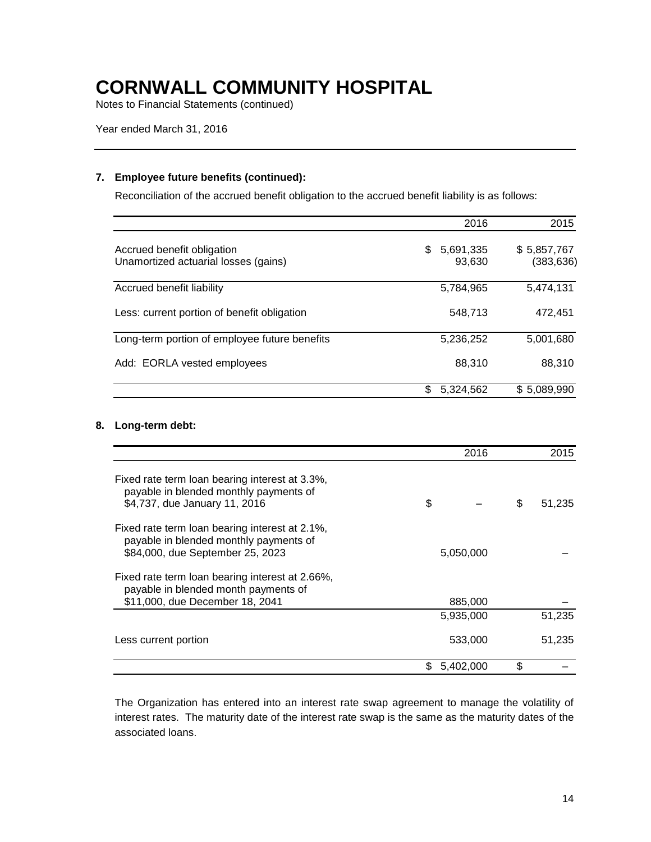Notes to Financial Statements (continued)

Year ended March 31, 2016

### **7. Employee future benefits (continued):**

Reconciliation of the accrued benefit obligation to the accrued benefit liability is as follows:

|                                                                    | 2016                       | 2015                      |
|--------------------------------------------------------------------|----------------------------|---------------------------|
| Accrued benefit obligation<br>Unamortized actuarial losses (gains) | 5,691,335<br>\$.<br>93,630 | \$5,857,767<br>(383, 636) |
| Accrued benefit liability                                          | 5,784,965                  | 5,474,131                 |
| Less: current portion of benefit obligation                        | 548.713                    | 472,451                   |
| Long-term portion of employee future benefits                      | 5,236,252                  | 5,001,680                 |
| Add: EORLA vested employees                                        | 88,310                     | 88,310                    |
|                                                                    | 5,324,562                  | \$5,089,990               |

### **8. Long-term debt:**

|                                                                                                                              |    | 2016      | 2015         |
|------------------------------------------------------------------------------------------------------------------------------|----|-----------|--------------|
| Fixed rate term loan bearing interest at 3.3%,<br>payable in blended monthly payments of<br>\$4,737, due January 11, 2016    | \$ |           | \$<br>51,235 |
| Fixed rate term loan bearing interest at 2.1%,<br>payable in blended monthly payments of<br>\$84,000, due September 25, 2023 |    | 5,050,000 |              |
| Fixed rate term loan bearing interest at 2.66%,<br>payable in blended month payments of<br>\$11,000, due December 18, 2041   |    | 885,000   |              |
|                                                                                                                              |    | 5,935,000 | 51,235       |
| Less current portion                                                                                                         |    | 533,000   | 51,235       |
|                                                                                                                              | S. | 5,402,000 | \$           |

The Organization has entered into an interest rate swap agreement to manage the volatility of interest rates. The maturity date of the interest rate swap is the same as the maturity dates of the associated loans.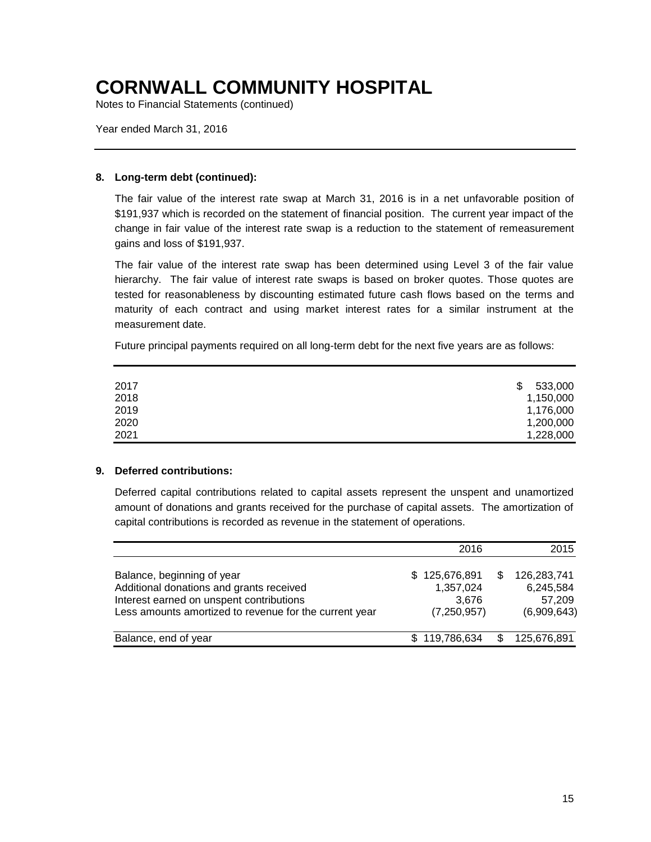Notes to Financial Statements (continued)

Year ended March 31, 2016

### **8. Long-term debt (continued):**

The fair value of the interest rate swap at March 31, 2016 is in a net unfavorable position of \$191,937 which is recorded on the statement of financial position. The current year impact of the change in fair value of the interest rate swap is a reduction to the statement of remeasurement gains and loss of \$191,937.

The fair value of the interest rate swap has been determined using Level 3 of the fair value hierarchy. The fair value of interest rate swaps is based on broker quotes. Those quotes are tested for reasonableness by discounting estimated future cash flows based on the terms and maturity of each contract and using market interest rates for a similar instrument at the measurement date.

Future principal payments required on all long-term debt for the next five years are as follows:

| 2017 | 533,000<br>\$ |
|------|---------------|
| 2018 | 1,150,000     |
| 2019 | 1,176,000     |
| 2020 | 1,200,000     |
| 2021 | 1,228,000     |

### **9. Deferred contributions:**

Deferred capital contributions related to capital assets represent the unspent and unamortized amount of donations and grants received for the purchase of capital assets. The amortization of capital contributions is recorded as revenue in the statement of operations.

|                                                                                                    | 2016                           |     | 2015                     |
|----------------------------------------------------------------------------------------------------|--------------------------------|-----|--------------------------|
| Balance, beginning of year<br>Additional donations and grants received                             | 125,676,891<br>S.<br>1,357,024 | S   | 126,283,741<br>6,245,584 |
| Interest earned on unspent contributions<br>Less amounts amortized to revenue for the current year | 3.676<br>(7, 250, 957)         |     | 57.209<br>(6,909,643)    |
| Balance, end of year                                                                               | 119,786,634                    | \$. | 125,676,891              |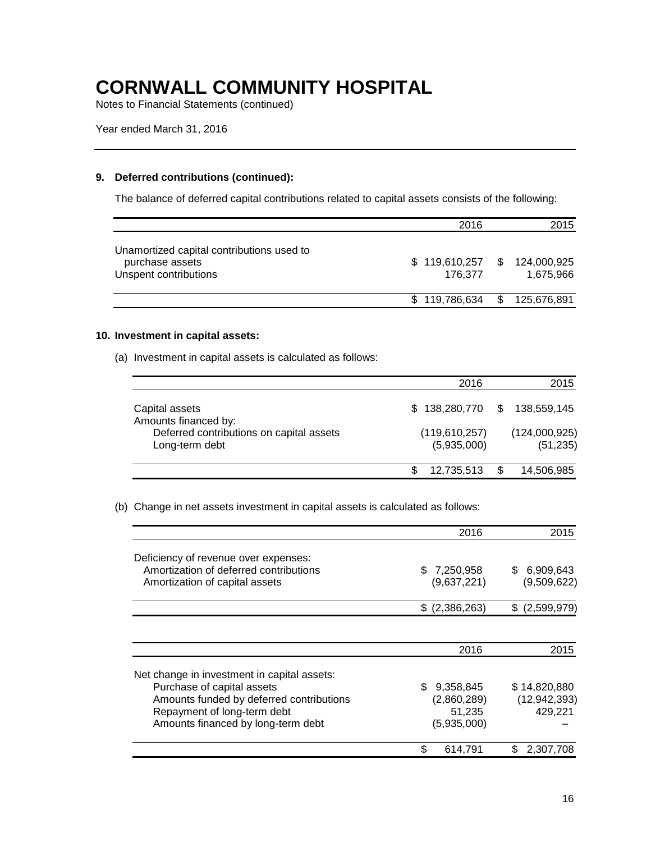Notes to Financial Statements (continued)

Year ended March 31, 2016

### **9. Deferred contributions (continued):**

The balance of deferred capital contributions related to capital assets consists of the following:

|                                                                                       | 2016                     |     | 2015                     |
|---------------------------------------------------------------------------------------|--------------------------|-----|--------------------------|
| Unamortized capital contributions used to<br>purchase assets<br>Unspent contributions | \$119,610,257<br>176.377 | \$. | 124,000,925<br>1.675.966 |
|                                                                                       | \$119,786,634            | S.  | 125,676,891              |

### **10. Investment in capital assets:**

(a) Investment in capital assets is calculated as follows:

|                                          | 2016                        | 2015          |
|------------------------------------------|-----------------------------|---------------|
| Capital assets<br>Amounts financed by:   | \$138,280,770 \$138,559,145 |               |
| Deferred contributions on capital assets | (119,610,257)               | (124,000,925) |
| Long-term debt                           | (5,935,000)                 | (51, 235)     |
|                                          | 12,735,513<br>\$.           | 14,506,985    |

(b) Change in net assets investment in capital assets is calculated as follows:

|                                             | 2016            | 2015            |
|---------------------------------------------|-----------------|-----------------|
| Deficiency of revenue over expenses:        |                 |                 |
| Amortization of deferred contributions      | \$7,250,958     | \$<br>6,909,643 |
| Amortization of capital assets              | (9,637,221)     | (9,509,622)     |
|                                             | $$$ (2,386,263) | $$$ (2,599,979) |
|                                             | 2016            | 2015            |
| Net change in investment in capital assets: |                 |                 |
| Purchase of capital assets                  | 9,358,845       | \$14,820,880    |
| Amounts funded by deferred contributions    | (2,860,289)     | (12, 942, 393)  |
| Repayment of long-term debt                 | 51,235          | 429,221         |
| Amounts financed by long-term debt          | (5,935,000)     |                 |
|                                             | 614,791         | 2,307,708<br>S. |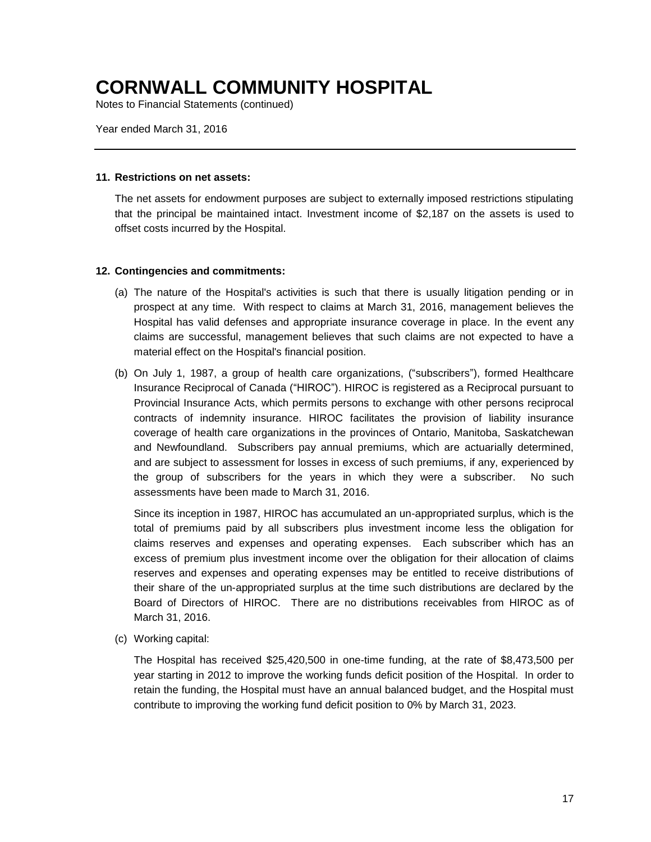Notes to Financial Statements (continued)

Year ended March 31, 2016

#### **11. Restrictions on net assets:**

The net assets for endowment purposes are subject to externally imposed restrictions stipulating that the principal be maintained intact. Investment income of \$2,187 on the assets is used to offset costs incurred by the Hospital.

### **12. Contingencies and commitments:**

- (a) The nature of the Hospital's activities is such that there is usually litigation pending or in prospect at any time. With respect to claims at March 31, 2016, management believes the Hospital has valid defenses and appropriate insurance coverage in place. In the event any claims are successful, management believes that such claims are not expected to have a material effect on the Hospital's financial position.
- (b) On July 1, 1987, a group of health care organizations, ("subscribers"), formed Healthcare Insurance Reciprocal of Canada ("HIROC"). HIROC is registered as a Reciprocal pursuant to Provincial Insurance Acts, which permits persons to exchange with other persons reciprocal contracts of indemnity insurance. HIROC facilitates the provision of liability insurance coverage of health care organizations in the provinces of Ontario, Manitoba, Saskatchewan and Newfoundland. Subscribers pay annual premiums, which are actuarially determined, and are subject to assessment for losses in excess of such premiums, if any, experienced by the group of subscribers for the years in which they were a subscriber. No such assessments have been made to March 31, 2016.

Since its inception in 1987, HIROC has accumulated an un-appropriated surplus, which is the total of premiums paid by all subscribers plus investment income less the obligation for claims reserves and expenses and operating expenses. Each subscriber which has an excess of premium plus investment income over the obligation for their allocation of claims reserves and expenses and operating expenses may be entitled to receive distributions of their share of the un-appropriated surplus at the time such distributions are declared by the Board of Directors of HIROC. There are no distributions receivables from HIROC as of March 31, 2016.

(c) Working capital:

The Hospital has received \$25,420,500 in one-time funding, at the rate of \$8,473,500 per year starting in 2012 to improve the working funds deficit position of the Hospital. In order to retain the funding, the Hospital must have an annual balanced budget, and the Hospital must contribute to improving the working fund deficit position to 0% by March 31, 2023.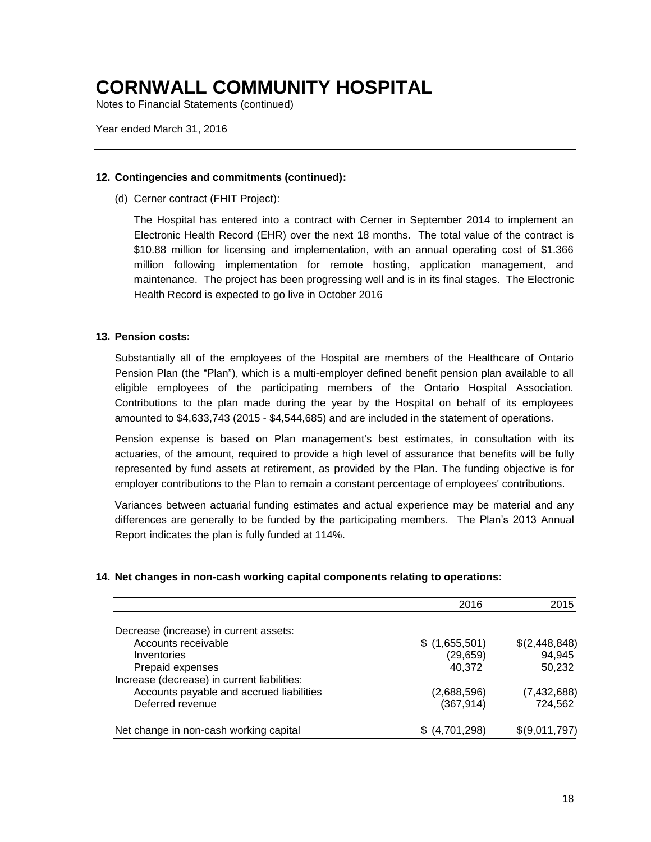Notes to Financial Statements (continued)

Year ended March 31, 2016

### **12. Contingencies and commitments (continued):**

(d) Cerner contract (FHIT Project):

The Hospital has entered into a contract with Cerner in September 2014 to implement an Electronic Health Record (EHR) over the next 18 months. The total value of the contract is \$10.88 million for licensing and implementation, with an annual operating cost of \$1.366 million following implementation for remote hosting, application management, and maintenance. The project has been progressing well and is in its final stages. The Electronic Health Record is expected to go live in October 2016

### **13. Pension costs:**

Substantially all of the employees of the Hospital are members of the Healthcare of Ontario Pension Plan (the "Plan"), which is a multi-employer defined benefit pension plan available to all eligible employees of the participating members of the Ontario Hospital Association. Contributions to the plan made during the year by the Hospital on behalf of its employees amounted to \$4,633,743 (2015 - \$4,544,685) and are included in the statement of operations.

Pension expense is based on Plan management's best estimates, in consultation with its actuaries, of the amount, required to provide a high level of assurance that benefits will be fully represented by fund assets at retirement, as provided by the Plan. The funding objective is for employer contributions to the Plan to remain a constant percentage of employees' contributions.

Variances between actuarial funding estimates and actual experience may be material and any differences are generally to be funded by the participating members. The Plan's 2013 Annual Report indicates the plan is fully funded at 114%.

### **14. Net changes in non-cash working capital components relating to operations:**

|                                             | 2016          | 2015          |
|---------------------------------------------|---------------|---------------|
|                                             |               |               |
| Decrease (increase) in current assets:      |               |               |
| Accounts receivable                         | \$(1,655,501) | \$(2,448,848) |
| Inventories                                 | (29, 659)     | 94,945        |
| Prepaid expenses                            | 40.372        | 50,232        |
| Increase (decrease) in current liabilities: |               |               |
| Accounts payable and accrued liabilities    | (2,688,596)   | (7,432,688)   |
| Deferred revenue                            | (367, 914)    | 724,562       |
| Net change in non-cash working capital      | (4,701,298)   | \$(9,011,797) |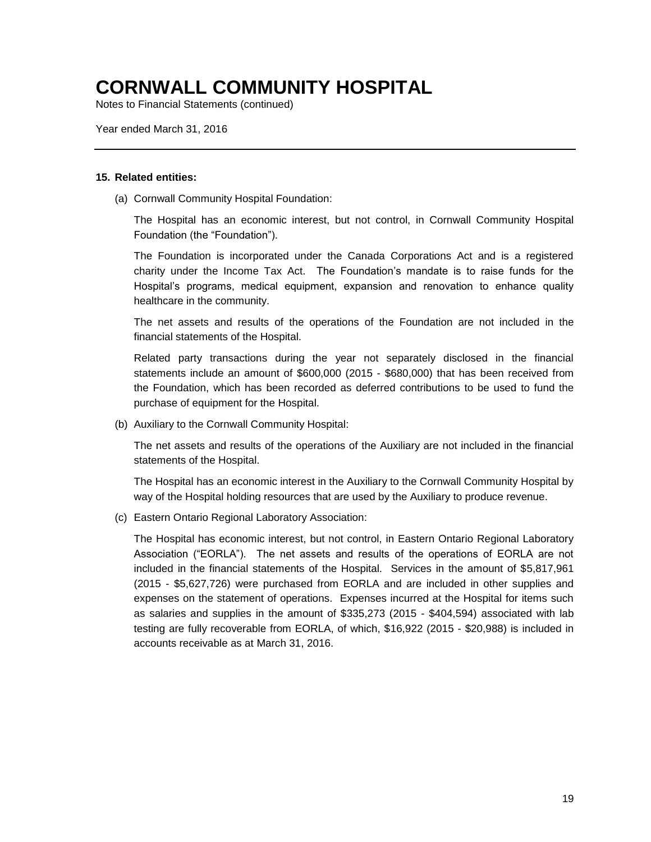Notes to Financial Statements (continued)

Year ended March 31, 2016

#### **15. Related entities:**

(a) Cornwall Community Hospital Foundation:

The Hospital has an economic interest, but not control, in Cornwall Community Hospital Foundation (the "Foundation").

The Foundation is incorporated under the Canada Corporations Act and is a registered charity under the Income Tax Act. The Foundation's mandate is to raise funds for the Hospital's programs, medical equipment, expansion and renovation to enhance quality healthcare in the community.

The net assets and results of the operations of the Foundation are not included in the financial statements of the Hospital.

Related party transactions during the year not separately disclosed in the financial statements include an amount of \$600,000 (2015 - \$680,000) that has been received from the Foundation, which has been recorded as deferred contributions to be used to fund the purchase of equipment for the Hospital.

(b) Auxiliary to the Cornwall Community Hospital:

The net assets and results of the operations of the Auxiliary are not included in the financial statements of the Hospital.

The Hospital has an economic interest in the Auxiliary to the Cornwall Community Hospital by way of the Hospital holding resources that are used by the Auxiliary to produce revenue.

(c) Eastern Ontario Regional Laboratory Association:

The Hospital has economic interest, but not control, in Eastern Ontario Regional Laboratory Association ("EORLA"). The net assets and results of the operations of EORLA are not included in the financial statements of the Hospital. Services in the amount of \$5,817,961 (2015 - \$5,627,726) were purchased from EORLA and are included in other supplies and expenses on the statement of operations. Expenses incurred at the Hospital for items such as salaries and supplies in the amount of \$335,273 (2015 - \$404,594) associated with lab testing are fully recoverable from EORLA, of which, \$16,922 (2015 - \$20,988) is included in accounts receivable as at March 31, 2016.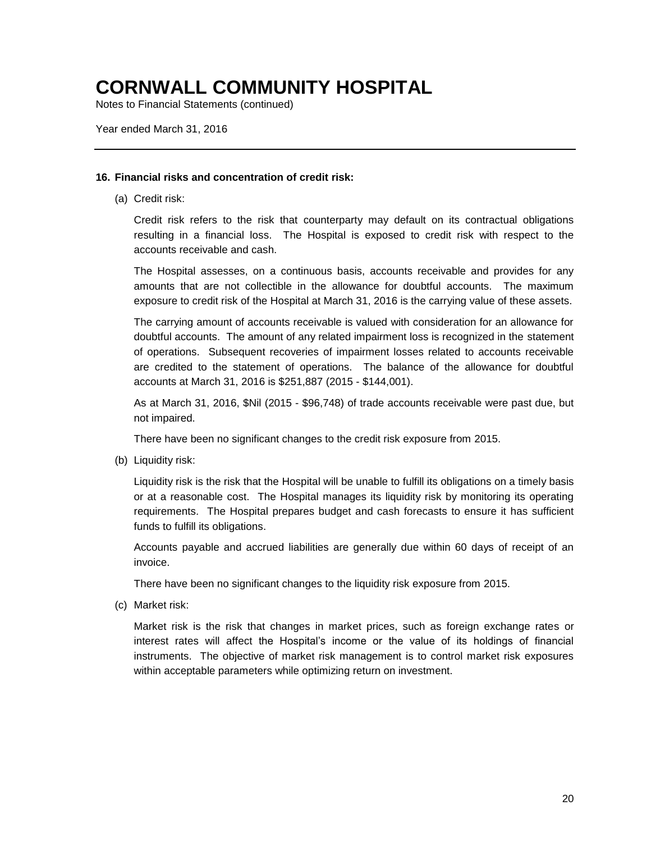Notes to Financial Statements (continued)

Year ended March 31, 2016

#### **16. Financial risks and concentration of credit risk:**

(a) Credit risk:

Credit risk refers to the risk that counterparty may default on its contractual obligations resulting in a financial loss. The Hospital is exposed to credit risk with respect to the accounts receivable and cash.

The Hospital assesses, on a continuous basis, accounts receivable and provides for any amounts that are not collectible in the allowance for doubtful accounts. The maximum exposure to credit risk of the Hospital at March 31, 2016 is the carrying value of these assets.

The carrying amount of accounts receivable is valued with consideration for an allowance for doubtful accounts. The amount of any related impairment loss is recognized in the statement of operations. Subsequent recoveries of impairment losses related to accounts receivable are credited to the statement of operations. The balance of the allowance for doubtful accounts at March 31, 2016 is \$251,887 (2015 - \$144,001).

As at March 31, 2016, \$Nil (2015 - \$96,748) of trade accounts receivable were past due, but not impaired.

There have been no significant changes to the credit risk exposure from 2015.

(b) Liquidity risk:

Liquidity risk is the risk that the Hospital will be unable to fulfill its obligations on a timely basis or at a reasonable cost. The Hospital manages its liquidity risk by monitoring its operating requirements. The Hospital prepares budget and cash forecasts to ensure it has sufficient funds to fulfill its obligations.

Accounts payable and accrued liabilities are generally due within 60 days of receipt of an invoice.

There have been no significant changes to the liquidity risk exposure from 2015.

(c) Market risk:

Market risk is the risk that changes in market prices, such as foreign exchange rates or interest rates will affect the Hospital's income or the value of its holdings of financial instruments. The objective of market risk management is to control market risk exposures within acceptable parameters while optimizing return on investment.